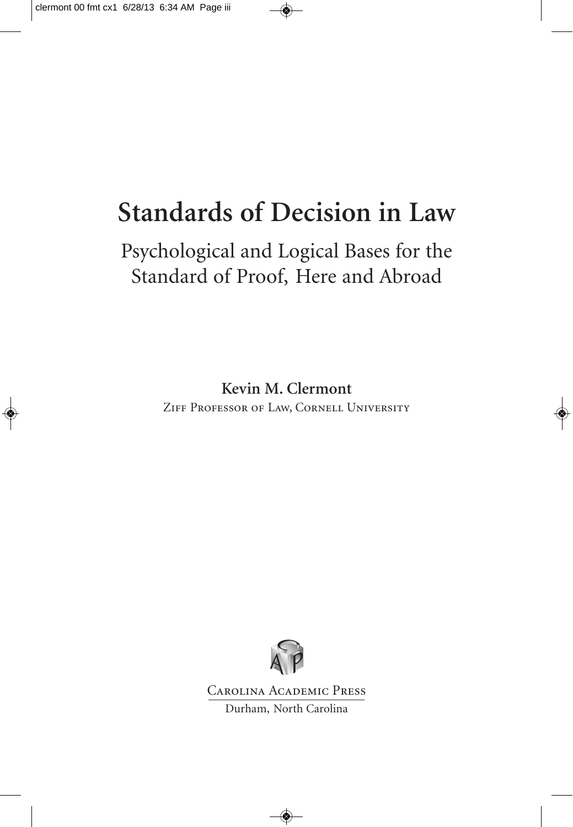### **Standards of Decision in Law**

### Psychological and Logical Bases for the Standard of Proof, Here and Abroad

**Kevin M. Clermont** Ziff Professor of Law, Cornell University



Carolina Academic Press Durham, North Carolina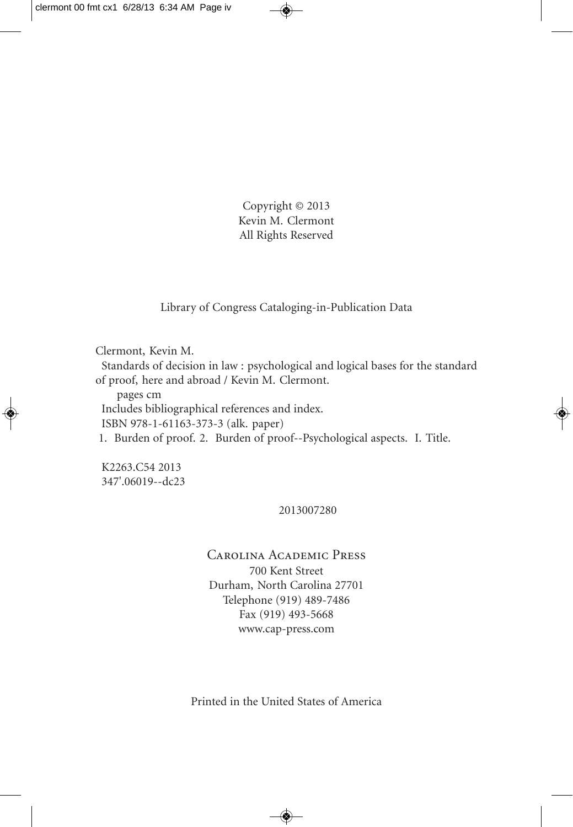Copyright © 2013 Kevin M. Clermont All Rights Reserved

Library of Congress Cataloging-in-Publication Data

Clermont, Kevin M.

Standards of decision in law : psychological and logical bases for the standard of proof, here and abroad / Kevin M. Clermont.

pages cm Includes bibliographical references and index. ISBN 978-1-61163-373-3 (alk. paper) 1. Burden of proof. 2. Burden of proof--Psychological aspects. I. Title.

K2263.C54 2013 347'.06019--dc23

#### 2013007280

#### Carolina Academic Press 700 Kent Street Durham, North Carolina 27701 Telephone (919) 489-7486 Fax (919) 493-5668 www.cap-press.com

Printed in the United States of America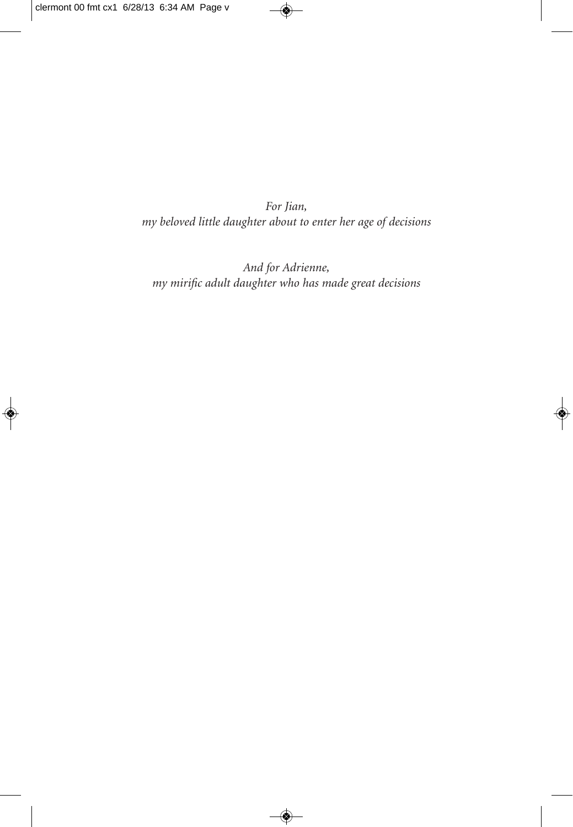*For Jian, my beloved little daughter about to enter her age of decisions*

*And for Adrienne, my mirific adult daughter who has made great decisions*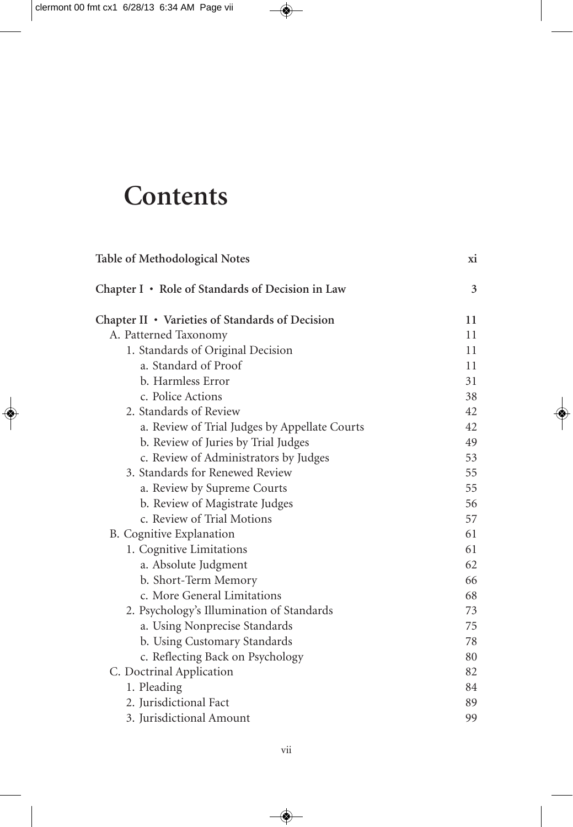## **Contents**

| <b>Table of Methodological Notes</b>             | хi |
|--------------------------------------------------|----|
| Chapter I • Role of Standards of Decision in Law | 3  |
| Chapter II • Varieties of Standards of Decision  | 11 |
| A. Patterned Taxonomy                            | 11 |
| 1. Standards of Original Decision                | 11 |
| a. Standard of Proof                             | 11 |
| b. Harmless Error                                | 31 |
| c. Police Actions                                | 38 |
| 2. Standards of Review                           | 42 |
| a. Review of Trial Judges by Appellate Courts    | 42 |
| b. Review of Juries by Trial Judges              | 49 |
| c. Review of Administrators by Judges            | 53 |
| 3. Standards for Renewed Review                  | 55 |
| a. Review by Supreme Courts                      | 55 |
| b. Review of Magistrate Judges                   | 56 |
| c. Review of Trial Motions                       | 57 |
| B. Cognitive Explanation                         | 61 |
| 1. Cognitive Limitations                         | 61 |
| a. Absolute Judgment                             | 62 |
| b. Short-Term Memory                             | 66 |
| c. More General Limitations                      | 68 |
| 2. Psychology's Illumination of Standards        | 73 |
| a. Using Nonprecise Standards                    | 75 |
| b. Using Customary Standards                     | 78 |
| c. Reflecting Back on Psychology                 | 80 |
| C. Doctrinal Application                         | 82 |
| 1. Pleading                                      | 84 |
| 2. Jurisdictional Fact                           | 89 |
| 3. Jurisdictional Amount                         | 99 |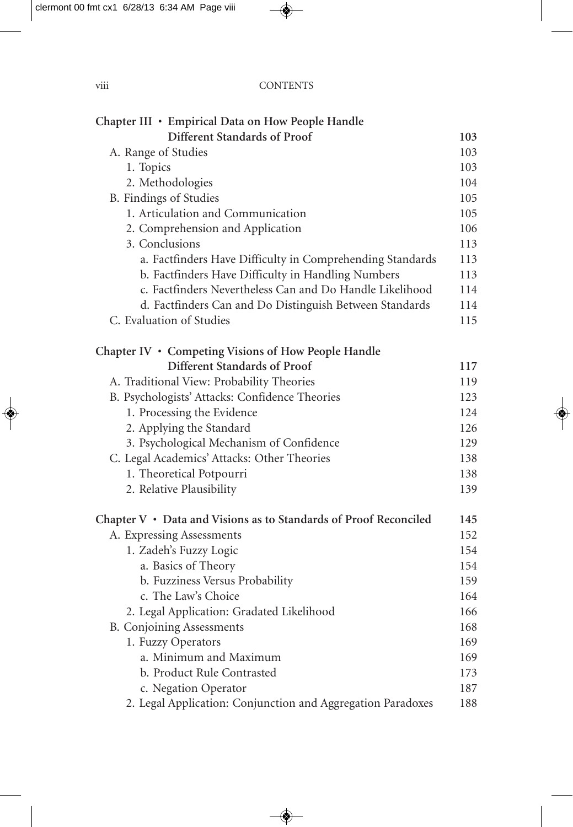| $\cdots$<br>V111 | <b>CONTENTS</b> |
|------------------|-----------------|
|                  |                 |

| Chapter III · Empirical Data on How People Handle                |     |
|------------------------------------------------------------------|-----|
| Different Standards of Proof                                     | 103 |
| A. Range of Studies                                              | 103 |
| 1. Topics                                                        | 103 |
| 2. Methodologies                                                 | 104 |
| B. Findings of Studies                                           | 105 |
| 1. Articulation and Communication                                | 105 |
| 2. Comprehension and Application                                 | 106 |
| 3. Conclusions                                                   | 113 |
| a. Factfinders Have Difficulty in Comprehending Standards        | 113 |
| b. Factfinders Have Difficulty in Handling Numbers               | 113 |
| c. Factfinders Nevertheless Can and Do Handle Likelihood         | 114 |
| d. Factfinders Can and Do Distinguish Between Standards          | 114 |
| C. Evaluation of Studies                                         | 115 |
| Chapter IV • Competing Visions of How People Handle              |     |
| Different Standards of Proof                                     | 117 |
| A. Traditional View: Probability Theories                        | 119 |
| B. Psychologists' Attacks: Confidence Theories                   | 123 |
| 1. Processing the Evidence                                       | 124 |
| 2. Applying the Standard                                         | 126 |
| 3. Psychological Mechanism of Confidence                         | 129 |
| C. Legal Academics' Attacks: Other Theories                      | 138 |
| 1. Theoretical Potpourri                                         | 138 |
| 2. Relative Plausibility                                         | 139 |
| Chapter V • Data and Visions as to Standards of Proof Reconciled | 145 |
| A. Expressing Assessments                                        | 152 |
| 1. Zadeh's Fuzzy Logic                                           | 154 |
| a. Basics of Theory                                              | 154 |
| b. Fuzziness Versus Probability                                  | 159 |
| c. The Law's Choice                                              | 164 |
| 2. Legal Application: Gradated Likelihood                        | 166 |
| <b>B.</b> Conjoining Assessments                                 | 168 |
| 1. Fuzzy Operators                                               | 169 |
| a. Minimum and Maximum                                           | 169 |
| b. Product Rule Contrasted                                       | 173 |
| c. Negation Operator                                             | 187 |
| 2. Legal Application: Conjunction and Aggregation Paradoxes      | 188 |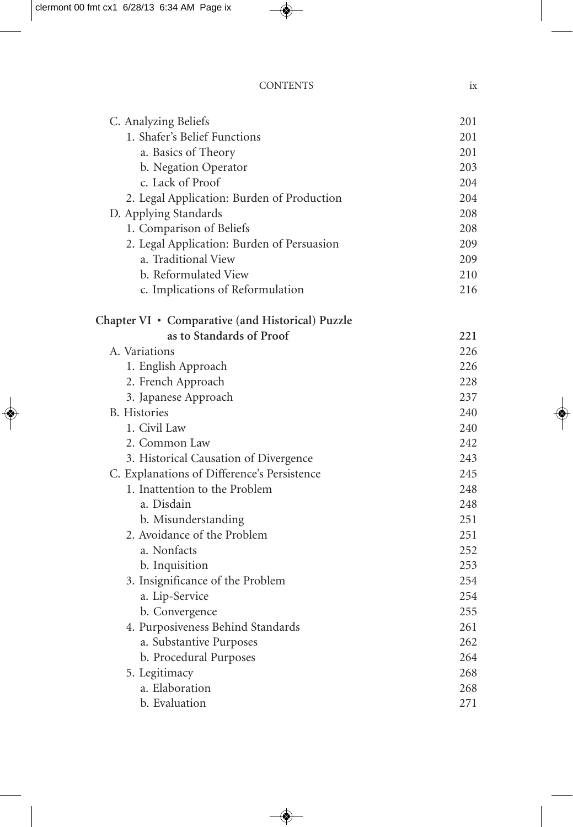| <b>CONTENTS</b> |  |
|-----------------|--|
|                 |  |

| C. Analyzing Beliefs                             | 201 |
|--------------------------------------------------|-----|
| 1. Shafer's Belief Functions                     | 201 |
| a. Basics of Theory                              | 201 |
| b. Negation Operator                             | 203 |
| c. Lack of Proof                                 | 204 |
| 2. Legal Application: Burden of Production       | 204 |
| D. Applying Standards                            | 208 |
| 1. Comparison of Beliefs                         | 208 |
| 2. Legal Application: Burden of Persuasion       | 209 |
| a. Traditional View                              | 209 |
| b. Reformulated View                             | 210 |
| c. Implications of Reformulation                 | 216 |
| Chapter VI • Comparative (and Historical) Puzzle |     |
| as to Standards of Proof                         | 221 |
| A. Variations                                    | 226 |
| 1. English Approach                              | 226 |
| 2. French Approach                               | 228 |
| 3. Japanese Approach                             | 237 |
| <b>B.</b> Histories                              | 240 |
| 1. Civil Law                                     | 240 |
| 2. Common Law                                    | 242 |
| 3. Historical Causation of Divergence            | 243 |
| C. Explanations of Difference's Persistence      | 245 |
| 1. Inattention to the Problem                    | 248 |
| a. Disdain                                       | 248 |
| b. Misunderstanding                              | 251 |
| 2. Avoidance of the Problem                      | 251 |
| a. Nonfacts                                      | 252 |
| b. Inquisition                                   | 253 |
| 3. Insignificance of the Problem                 | 254 |
| a. Lip-Service                                   | 254 |
| b. Convergence                                   | 255 |
| 4. Purposiveness Behind Standards                | 261 |
| a. Substantive Purposes                          | 262 |
| b. Procedural Purposes                           | 264 |
| 5. Legitimacy                                    | 268 |
| a. Elaboration                                   | 268 |
| b. Evaluation                                    | 271 |
|                                                  |     |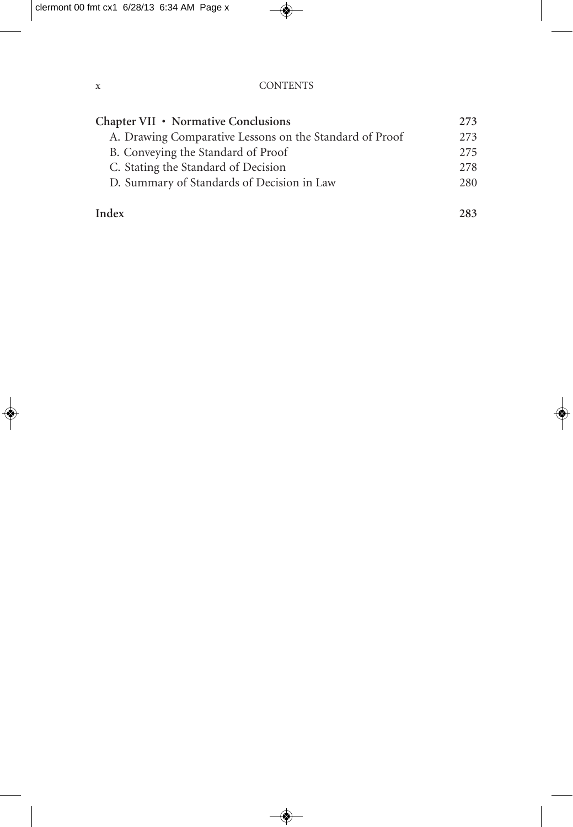| Chapter VII • Normative Conclusions                     | 273  |
|---------------------------------------------------------|------|
| A. Drawing Comparative Lessons on the Standard of Proof | 2.73 |
| B. Conveying the Standard of Proof                      | 2.75 |
| C. Stating the Standard of Decision                     | 2.78 |
| D. Summary of Standards of Decision in Law              | 280  |
|                                                         |      |

#### **Index 283**